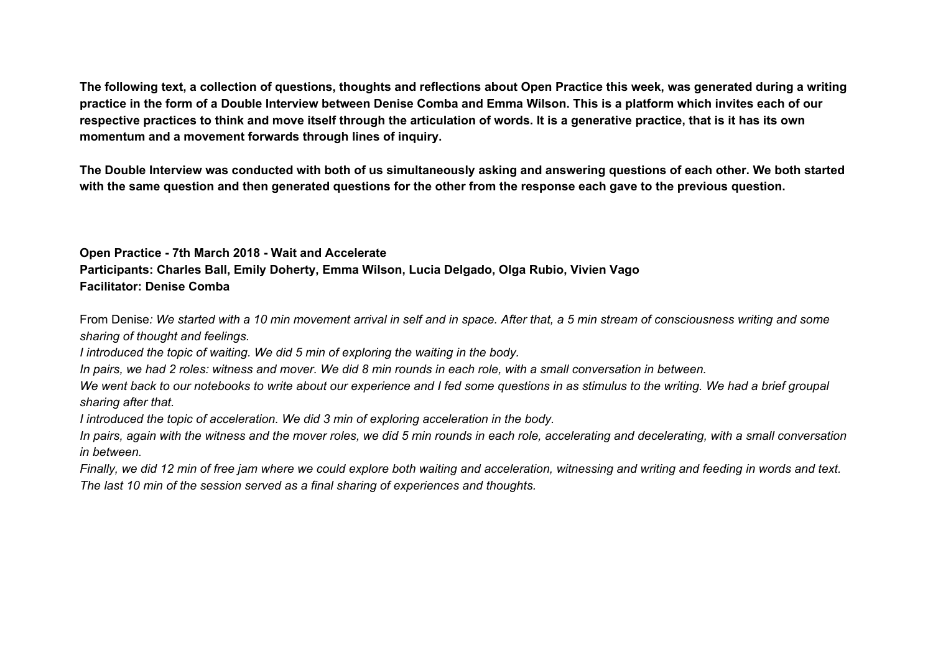The following text, a collection of questions, thoughts and reflections about Open Practice this week, was generated during a writing practice in the form of a Double Interview between Denise Comba and Emma Wilson. This is a platform which invites each of our respective practices to think and move itself through the articulation of words. It is a generative practice, that is it has its own **momentum and a movement forwards through lines of inquiry.**

The Double Interview was conducted with both of us simultaneously asking and answering questions of each other. We both started with the same question and then generated questions for the other from the response each gave to the previous question.

# **Open Practice - 7th March 2018 - Wait and Accelerate Participants: Charles Ball, Emily Doherty, Emma Wilson, Lucia Delgado, Olga Rubio, Vivien Vago Facilitator: Denise Comba**

From Denise: We started with a 10 min movement arrival in self and in space. After that, a 5 min stream of consciousness writing and some *sharing of thought and feelings.*

*I introduced the topic of waiting. We did 5 min of exploring the waiting in the body.*

In pairs, we had 2 roles: witness and mover. We did 8 min rounds in each role, with a small conversation in between.

We went back to our notebooks to write about our experience and I fed some questions in as stimulus to the writing. We had a brief groupal *sharing after that.*

*I introduced the topic of acceleration. We did 3 min of exploring acceleration in the body.*

In pairs, again with the witness and the mover roles, we did 5 min rounds in each role, accelerating and decelerating, with a small conversation *in between.*

Finally, we did 12 min of free jam where we could explore both waiting and acceleration, witnessing and writing and feeding in words and text. *The last 10 min of the session served as a final sharing of experiences and thoughts.*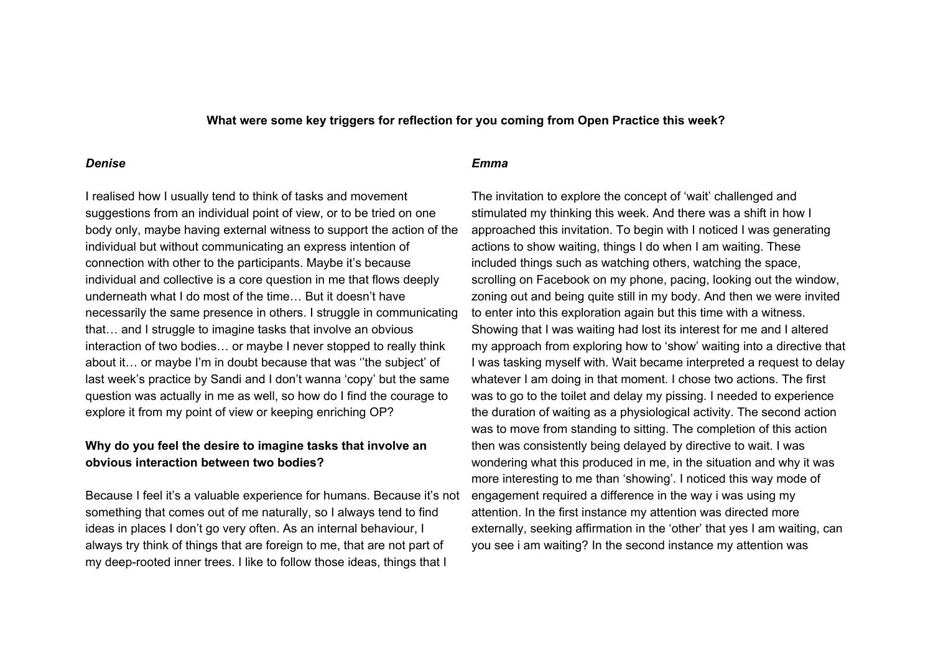**What were some key triggers for reflection for you coming from Open Practice this week?**

### *Denise*

I realised how I usually tend to think of tasks and movement suggestions from an individual point of view, or to be tried on one body only, maybe having external witness to support the action of the individual but without communicating an express intention of connection with other to the participants. Maybe it's because individual and collective is a core question in me that flows deeply underneath what I do most of the time… But it doesn't have necessarily the same presence in others. I struggle in communicating that… and I struggle to imagine tasks that involve an obvious interaction of two bodies… or maybe I never stopped to really think about it… or maybe I'm in doubt because that was ''the subject' of last week's practice by Sandi and I don't wanna 'copy' but the same question was actually in me as well, so how do I find the courage to explore it from my point of view or keeping enriching OP?

### **Why do you feel the desire to imagine tasks that involve an obvious interaction between two bodies?**

Because I feel it's a valuable experience for humans. Because it's not something that comes out of me naturally, so I always tend to find ideas in places I don't go very often. As an internal behaviour, I always try think of things that are foreign to me, that are not part of my deep-rooted inner trees. I like to follow those ideas, things that I

#### *Emma*

The invitation to explore the concept of 'wait' challenged and stimulated my thinking this week. And there was a shift in how I approached this invitation. To begin with I noticed I was generating actions to show waiting, things I do when I am waiting. These included things such as watching others, watching the space, scrolling on Facebook on my phone, pacing, looking out the window, zoning out and being quite still in my body. And then we were invited to enter into this exploration again but this time with a witness. Showing that I was waiting had lost its interest for me and I altered my approach from exploring how to 'show' waiting into a directive that I was tasking myself with. Wait became interpreted a request to delay whatever I am doing in that moment. I chose two actions. The first was to go to the toilet and delay my pissing. I needed to experience the duration of waiting as a physiological activity. The second action was to move from standing to sitting. The completion of this action then was consistently being delayed by directive to wait. I was wondering what this produced in me, in the situation and why it was more interesting to me than 'showing'. I noticed this way mode of engagement required a difference in the way i was using my attention. In the first instance my attention was directed more externally, seeking affirmation in the 'other' that yes I am waiting, can you see i am waiting? In the second instance my attention was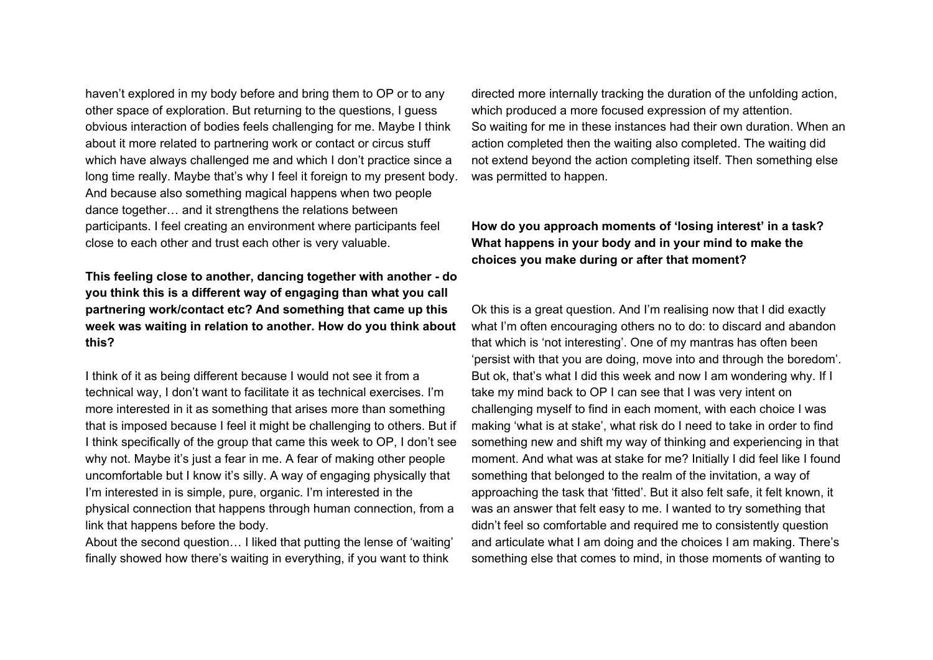haven't explored in my body before and bring them to OP or to any other space of exploration. But returning to the questions, I guess obvious interaction of bodies feels challenging for me. Maybe I think about it more related to partnering work or contact or circus stuff which have always challenged me and which I don't practice since a long time really. Maybe that's why I feel it foreign to my present body. And because also something magical happens when two people dance together… and it strengthens the relations between participants. I feel creating an environment where participants feel close to each other and trust each other is very valuable.

**This feeling close to another, dancing together with another - do you think this is a different way of engaging than what you call partnering work/contact etc? And something that came up this week was waiting in relation to another. How do you think about this?**

I think of it as being different because I would not see it from a technical way, I don't want to facilitate it as technical exercises. I'm more interested in it as something that arises more than something that is imposed because I feel it might be challenging to others. But if I think specifically of the group that came this week to OP, I don't see why not. Maybe it's just a fear in me. A fear of making other people uncomfortable but I know it's silly. A way of engaging physically that I'm interested in is simple, pure, organic. I'm interested in the physical connection that happens through human connection, from a link that happens before the body.

About the second question… I liked that putting the lense of 'waiting' finally showed how there's waiting in everything, if you want to think

directed more internally tracking the duration of the unfolding action, which produced a more focused expression of my attention. So waiting for me in these instances had their own duration. When an action completed then the waiting also completed. The waiting did not extend beyond the action completing itself. Then something else was permitted to happen.

**How do you approach moments of 'losing interest' in a task? What happens in your body and in your mind to make the choices you make during or after that moment?**

Ok this is a great question. And I'm realising now that I did exactly what I'm often encouraging others no to do: to discard and abandon that which is 'not interesting'. One of my mantras has often been 'persist with that you are doing, move into and through the boredom'. But ok, that's what I did this week and now I am wondering why. If I take my mind back to OP I can see that I was very intent on challenging myself to find in each moment, with each choice I was making 'what is at stake', what risk do I need to take in order to find something new and shift my way of thinking and experiencing in that moment. And what was at stake for me? Initially I did feel like I found something that belonged to the realm of the invitation, a way of approaching the task that 'fitted'. But it also felt safe, it felt known, it was an answer that felt easy to me. I wanted to try something that didn't feel so comfortable and required me to consistently question and articulate what I am doing and the choices I am making. There's something else that comes to mind, in those moments of wanting to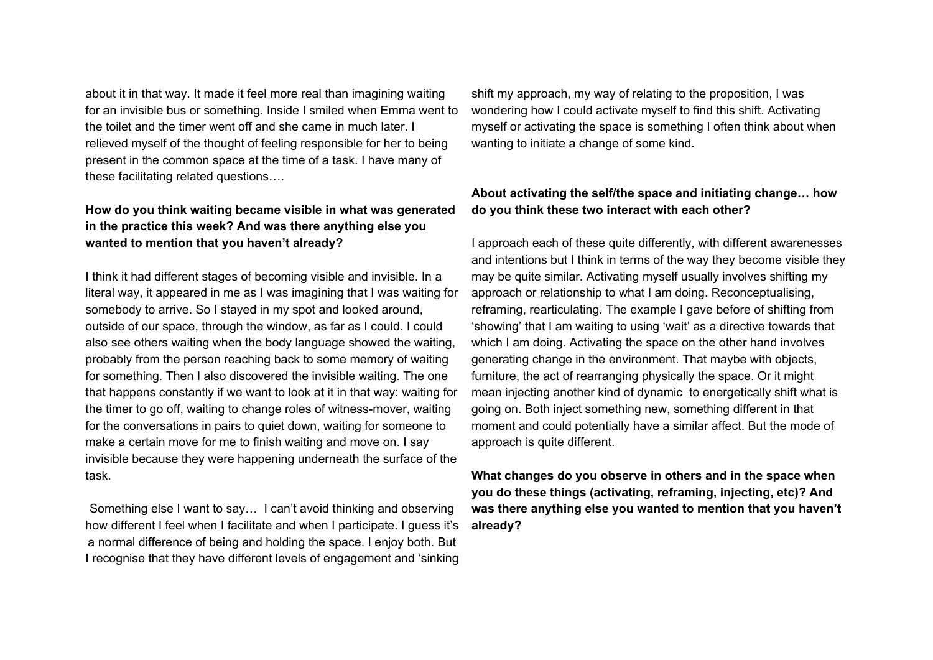about it in that way. It made it feel more real than imagining waiting for an invisible bus or something. Inside I smiled when Emma went to the toilet and the timer went off and she came in much later. I relieved myself of the thought of feeling responsible for her to being present in the common space at the time of a task. I have many of these facilitating related questions….

# **How do you think waiting became visible in what was generated in the practice this week? And was there anything else you wanted to mention that you haven't already?**

I think it had different stages of becoming visible and invisible. In a literal way, it appeared in me as I was imagining that I was waiting for somebody to arrive. So I stayed in my spot and looked around, outside of our space, through the window, as far as I could. I could also see others waiting when the body language showed the waiting, probably from the person reaching back to some memory of waiting for something. Then I also discovered the invisible waiting. The one that happens constantly if we want to look at it in that way: waiting for the timer to go off, waiting to change roles of witness-mover, waiting for the conversations in pairs to quiet down, waiting for someone to make a certain move for me to finish waiting and move on. I say invisible because they were happening underneath the surface of the task.

Something else I want to say… I can't avoid thinking and observing how different I feel when I facilitate and when I participate. I guess it's a normal difference of being and holding the space. I enjoy both. But I recognise that they have different levels of engagement and 'sinking

shift my approach, my way of relating to the proposition, I was wondering how I could activate myself to find this shift. Activating myself or activating the space is something I often think about when wanting to initiate a change of some kind.

### **About activating the self/the space and initiating change… how do you think these two interact with each other?**

I approach each of these quite differently, with different awarenesses and intentions but I think in terms of the way they become visible they may be quite similar. Activating myself usually involves shifting my approach or relationship to what I am doing. Reconceptualising, reframing, rearticulating. The example I gave before of shifting from 'showing' that I am waiting to using 'wait' as a directive towards that which I am doing. Activating the space on the other hand involves generating change in the environment. That maybe with objects, furniture, the act of rearranging physically the space. Or it might mean injecting another kind of dynamic to energetically shift what is going on. Both inject something new, something different in that moment and could potentially have a similar affect. But the mode of approach is quite different.

**What changes do you observe in others and in the space when you do these things (activating, reframing, injecting, etc)? And was there anything else you wanted to mention that you haven't already?**